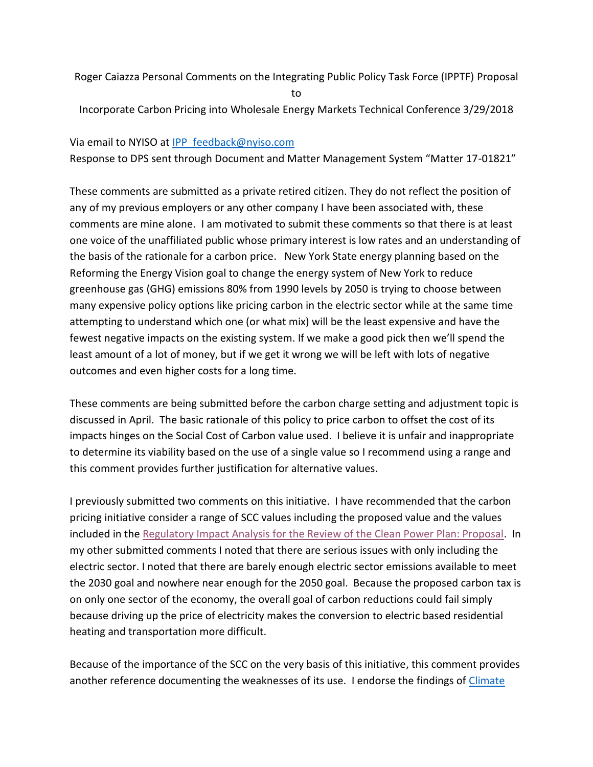Roger Caiazza Personal Comments on the Integrating Public Policy Task Force (IPPTF) Proposal to

Incorporate Carbon Pricing into Wholesale Energy Markets Technical Conference 3/29/2018

## Via email to NYISO at [IPP\\_feedback@nyiso.com](mailto:IPP_feedback@nyiso.com)

Response to DPS sent through Document and Matter Management System "Matter 17-01821"

These comments are submitted as a private retired citizen. They do not reflect the position of any of my previous employers or any other company I have been associated with, these comments are mine alone. I am motivated to submit these comments so that there is at least one voice of the unaffiliated public whose primary interest is low rates and an understanding of the basis of the rationale for a carbon price. New York State energy planning based on the Reforming the Energy Vision goal to change the energy system of New York to reduce greenhouse gas (GHG) emissions 80% from 1990 levels by 2050 is trying to choose between many expensive policy options like pricing carbon in the electric sector while at the same time attempting to understand which one (or what mix) will be the least expensive and have the fewest negative impacts on the existing system. If we make a good pick then we'll spend the least amount of a lot of money, but if we get it wrong we will be left with lots of negative outcomes and even higher costs for a long time.

These comments are being submitted before the carbon charge setting and adjustment topic is discussed in April. The basic rationale of this policy to price carbon to offset the cost of its impacts hinges on the Social Cost of Carbon value used. I believe it is unfair and inappropriate to determine its viability based on the use of a single value so I recommend using a range and this comment provides further justification for alternative values.

I previously submitted two comments on this initiative. I have recommended that the carbon pricing initiative consider a range of SCC values including the proposed value and the values included in the [Regulatory Impact Analysis for the Review of the Clean Power Plan: Proposal.](https://www.epa.gov/sites/production/files/2017-10/documents/ria_proposed-cpp-repeal_2017-10.pdf) In my other submitted comments I noted that there are serious issues with only including the electric sector. I noted that there are barely enough electric sector emissions available to meet the 2030 goal and nowhere near enough for the 2050 goal. Because the proposed carbon tax is on only one sector of the economy, the overall goal of carbon reductions could fail simply because driving up the price of electricity makes the conversion to electric based residential heating and transportation more difficult.

Because of the importance of the SCC on the very basis of this initiative, this comment provides another reference documenting the weaknesses of its use. I endorse the findings of [Climate](https://reason.org/policy_study/climate-change-catastrophe-regulation-and-the-social-cost-of-carbon/)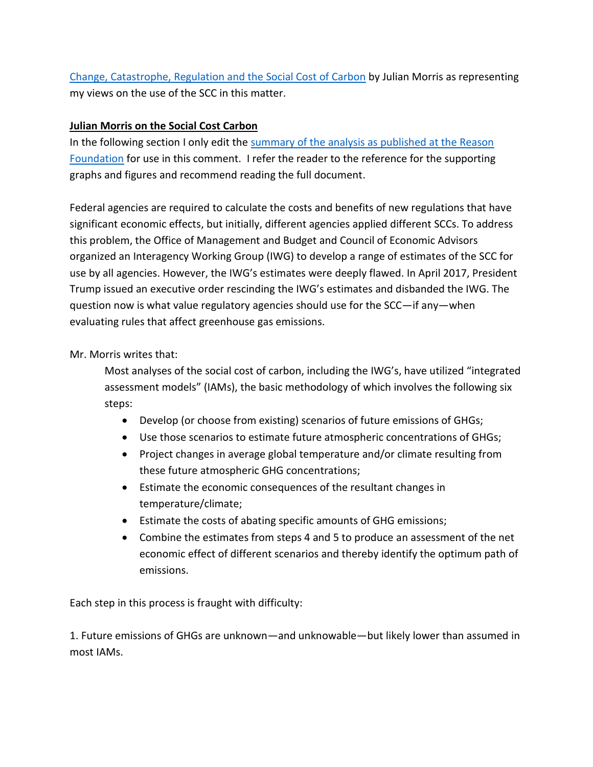Change, Catastrophe, Regulation and [the Social Cost of Carbon](https://reason.org/policy_study/climate-change-catastrophe-regulation-and-the-social-cost-of-carbon/) by Julian Morris as representing my views on the use of the SCC in this matter.

## **Julian Morris on the Social Cost Carbon**

In the following section I only edit the summary of the analysis as published at the Reason [Foundation](https://reason.org/policy_study/climate-change-catastrophe-regulation-and-the-social-cost-of-carbon/) for use in this comment. I refer the reader to the reference for the supporting graphs and figures and recommend reading the full document.

Federal agencies are required to calculate the costs and benefits of new regulations that have significant economic effects, but initially, different agencies applied different SCCs. To address this problem, the Office of Management and Budget and Council of Economic Advisors organized an Interagency Working Group (IWG) to develop a range of estimates of the SCC for use by all agencies. However, the IWG's estimates were deeply flawed. In April 2017, President Trump issued an executive order rescinding the IWG's estimates and disbanded the IWG. The question now is what value regulatory agencies should use for the SCC—if any—when evaluating rules that affect greenhouse gas emissions.

# Mr. Morris writes that:

Most analyses of the social cost of carbon, including the IWG's, have utilized "integrated assessment models" (IAMs), the basic methodology of which involves the following six steps:

- Develop (or choose from existing) scenarios of future emissions of GHGs;
- Use those scenarios to estimate future atmospheric concentrations of GHGs;
- Project changes in average global temperature and/or climate resulting from these future atmospheric GHG concentrations;
- Estimate the economic consequences of the resultant changes in temperature/climate;
- Estimate the costs of abating specific amounts of GHG emissions;
- Combine the estimates from steps 4 and 5 to produce an assessment of the net economic effect of different scenarios and thereby identify the optimum path of emissions.

Each step in this process is fraught with difficulty:

1. Future emissions of GHGs are unknown—and unknowable—but likely lower than assumed in most IAMs.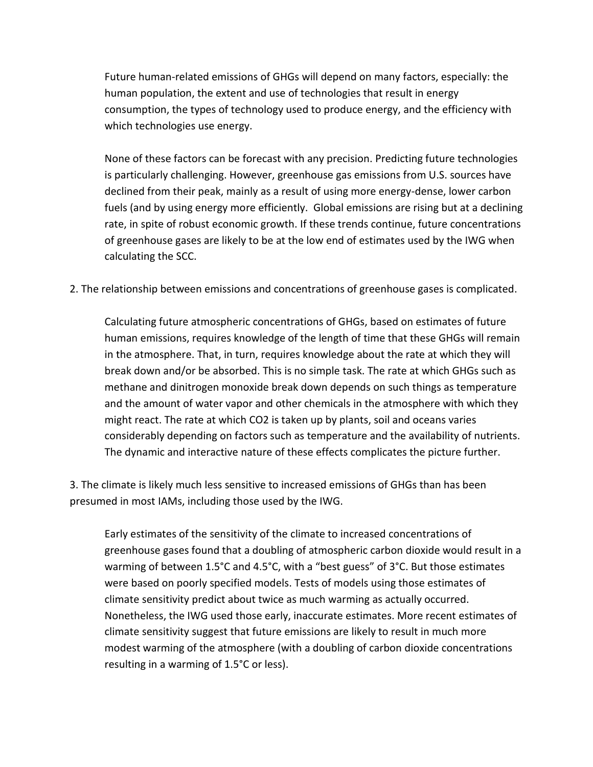Future human-related emissions of GHGs will depend on many factors, especially: the human population, the extent and use of technologies that result in energy consumption, the types of technology used to produce energy, and the efficiency with which technologies use energy.

None of these factors can be forecast with any precision. Predicting future technologies is particularly challenging. However, greenhouse gas emissions from U.S. sources have declined from their peak, mainly as a result of using more energy-dense, lower carbon fuels (and by using energy more efficiently. Global emissions are rising but at a declining rate, in spite of robust economic growth. If these trends continue, future concentrations of greenhouse gases are likely to be at the low end of estimates used by the IWG when calculating the SCC.

2. The relationship between emissions and concentrations of greenhouse gases is complicated.

Calculating future atmospheric concentrations of GHGs, based on estimates of future human emissions, requires knowledge of the length of time that these GHGs will remain in the atmosphere. That, in turn, requires knowledge about the rate at which they will break down and/or be absorbed. This is no simple task. The rate at which GHGs such as methane and dinitrogen monoxide break down depends on such things as temperature and the amount of water vapor and other chemicals in the atmosphere with which they might react. The rate at which CO2 is taken up by plants, soil and oceans varies considerably depending on factors such as temperature and the availability of nutrients. The dynamic and interactive nature of these effects complicates the picture further.

3. The climate is likely much less sensitive to increased emissions of GHGs than has been presumed in most IAMs, including those used by the IWG.

Early estimates of the sensitivity of the climate to increased concentrations of greenhouse gases found that a doubling of atmospheric carbon dioxide would result in a warming of between 1.5°C and 4.5°C, with a "best guess" of 3°C. But those estimates were based on poorly specified models. Tests of models using those estimates of climate sensitivity predict about twice as much warming as actually occurred. Nonetheless, the IWG used those early, inaccurate estimates. More recent estimates of climate sensitivity suggest that future emissions are likely to result in much more modest warming of the atmosphere (with a doubling of carbon dioxide concentrations resulting in a warming of 1.5°C or less).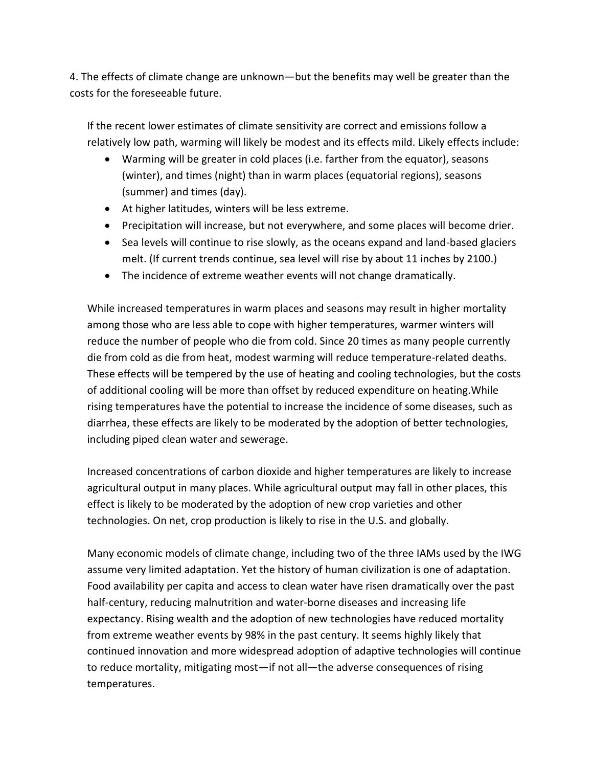4. The effects of climate change are unknown—but the benefits may well be greater than the costs for the foreseeable future.

If the recent lower estimates of climate sensitivity are correct and emissions follow a relatively low path, warming will likely be modest and its effects mild. Likely effects include:

- Warming will be greater in cold places (i.e. farther from the equator), seasons (winter), and times (night) than in warm places (equatorial regions), seasons (summer) and times (day).
- At higher latitudes, winters will be less extreme.
- Precipitation will increase, but not everywhere, and some places will become drier.
- Sea levels will continue to rise slowly, as the oceans expand and land-based glaciers melt. (If current trends continue, sea level will rise by about 11 inches by 2100.)
- The incidence of extreme weather events will not change dramatically.

While increased temperatures in warm places and seasons may result in higher mortality among those who are less able to cope with higher temperatures, warmer winters will reduce the number of people who die from cold. Since 20 times as many people currently die from cold as die from heat, modest warming will reduce temperature-related deaths. These effects will be tempered by the use of heating and cooling technologies, but the costs of additional cooling will be more than offset by reduced expenditure on heating.While rising temperatures have the potential to increase the incidence of some diseases, such as diarrhea, these effects are likely to be moderated by the adoption of better technologies, including piped clean water and sewerage.

Increased concentrations of carbon dioxide and higher temperatures are likely to increase agricultural output in many places. While agricultural output may fall in other places, this effect is likely to be moderated by the adoption of new crop varieties and other technologies. On net, crop production is likely to rise in the U.S. and globally.

Many economic models of climate change, including two of the three IAMs used by the IWG assume very limited adaptation. Yet the history of human civilization is one of adaptation. Food availability per capita and access to clean water have risen dramatically over the past half-century, reducing malnutrition and water-borne diseases and increasing life expectancy. Rising wealth and the adoption of new technologies have reduced mortality from extreme weather events by 98% in the past century. It seems highly likely that continued innovation and more widespread adoption of adaptive technologies will continue to reduce mortality, mitigating most—if not all—the adverse consequences of rising temperatures.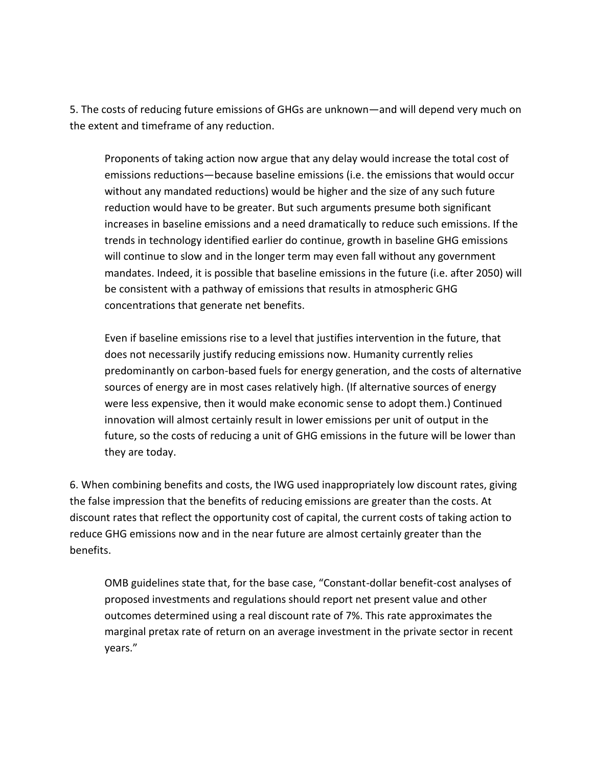5. The costs of reducing future emissions of GHGs are unknown—and will depend very much on the extent and timeframe of any reduction.

Proponents of taking action now argue that any delay would increase the total cost of emissions reductions—because baseline emissions (i.e. the emissions that would occur without any mandated reductions) would be higher and the size of any such future reduction would have to be greater. But such arguments presume both significant increases in baseline emissions and a need dramatically to reduce such emissions. If the trends in technology identified earlier do continue, growth in baseline GHG emissions will continue to slow and in the longer term may even fall without any government mandates. Indeed, it is possible that baseline emissions in the future (i.e. after 2050) will be consistent with a pathway of emissions that results in atmospheric GHG concentrations that generate net benefits.

Even if baseline emissions rise to a level that justifies intervention in the future, that does not necessarily justify reducing emissions now. Humanity currently relies predominantly on carbon-based fuels for energy generation, and the costs of alternative sources of energy are in most cases relatively high. (If alternative sources of energy were less expensive, then it would make economic sense to adopt them.) Continued innovation will almost certainly result in lower emissions per unit of output in the future, so the costs of reducing a unit of GHG emissions in the future will be lower than they are today.

6. When combining benefits and costs, the IWG used inappropriately low discount rates, giving the false impression that the benefits of reducing emissions are greater than the costs. At discount rates that reflect the opportunity cost of capital, the current costs of taking action to reduce GHG emissions now and in the near future are almost certainly greater than the benefits.

OMB guidelines state that, for the base case, "Constant-dollar benefit-cost analyses of proposed investments and regulations should report net present value and other outcomes determined using a real discount rate of 7%. This rate approximates the marginal pretax rate of return on an average investment in the private sector in recent years."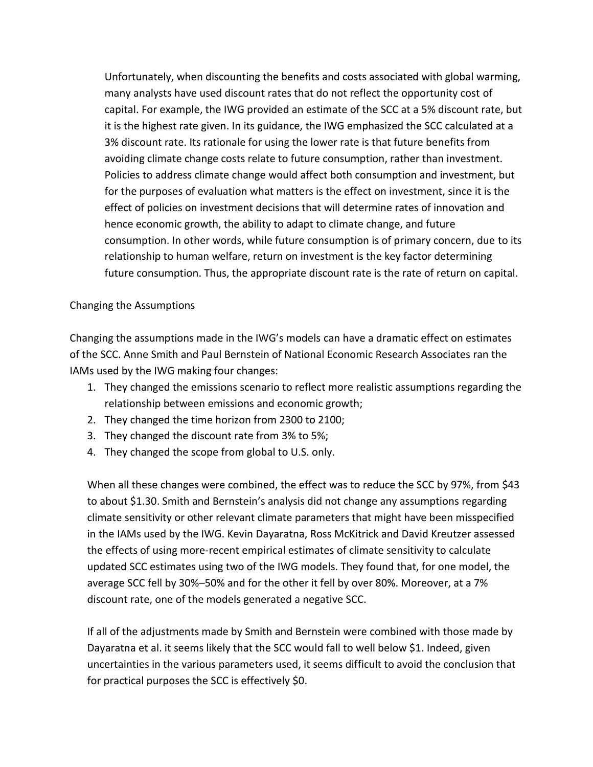Unfortunately, when discounting the benefits and costs associated with global warming, many analysts have used discount rates that do not reflect the opportunity cost of capital. For example, the IWG provided an estimate of the SCC at a 5% discount rate, but it is the highest rate given. In its guidance, the IWG emphasized the SCC calculated at a 3% discount rate. Its rationale for using the lower rate is that future benefits from avoiding climate change costs relate to future consumption, rather than investment. Policies to address climate change would affect both consumption and investment, but for the purposes of evaluation what matters is the effect on investment, since it is the effect of policies on investment decisions that will determine rates of innovation and hence economic growth, the ability to adapt to climate change, and future consumption. In other words, while future consumption is of primary concern, due to its relationship to human welfare, return on investment is the key factor determining future consumption. Thus, the appropriate discount rate is the rate of return on capital.

### Changing the Assumptions

Changing the assumptions made in the IWG's models can have a dramatic effect on estimates of the SCC. Anne Smith and Paul Bernstein of National Economic Research Associates ran the IAMs used by the IWG making four changes:

- 1. They changed the emissions scenario to reflect more realistic assumptions regarding the relationship between emissions and economic growth;
- 2. They changed the time horizon from 2300 to 2100;
- 3. They changed the discount rate from 3% to 5%;
- 4. They changed the scope from global to U.S. only.

When all these changes were combined, the effect was to reduce the SCC by 97%, from \$43 to about \$1.30. Smith and Bernstein's analysis did not change any assumptions regarding climate sensitivity or other relevant climate parameters that might have been misspecified in the IAMs used by the IWG. Kevin Dayaratna, Ross McKitrick and David Kreutzer assessed the effects of using more-recent empirical estimates of climate sensitivity to calculate updated SCC estimates using two of the IWG models. They found that, for one model, the average SCC fell by 30%–50% and for the other it fell by over 80%. Moreover, at a 7% discount rate, one of the models generated a negative SCC.

If all of the adjustments made by Smith and Bernstein were combined with those made by Dayaratna et al. it seems likely that the SCC would fall to well below \$1. Indeed, given uncertainties in the various parameters used, it seems difficult to avoid the conclusion that for practical purposes the SCC is effectively \$0.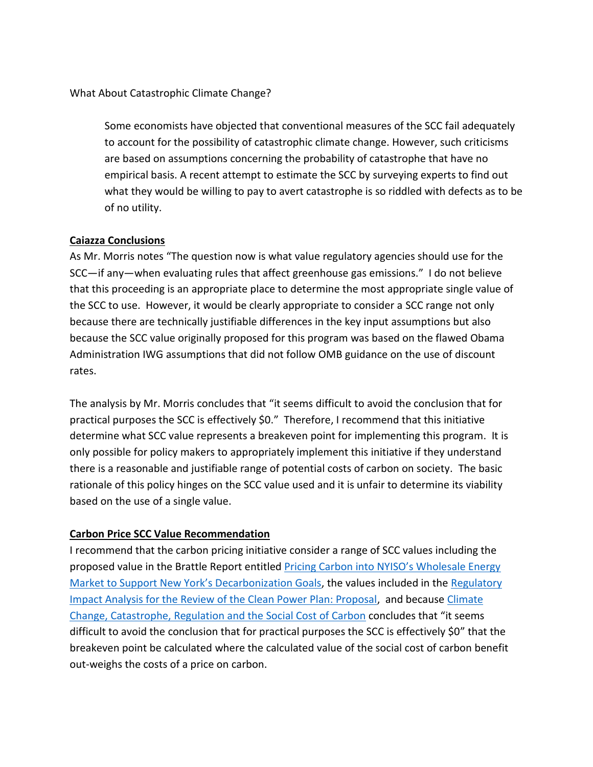What About Catastrophic Climate Change?

Some economists have objected that conventional measures of the SCC fail adequately to account for the possibility of catastrophic climate change. However, such criticisms are based on assumptions concerning the probability of catastrophe that have no empirical basis. A recent attempt to estimate the SCC by surveying experts to find out what they would be willing to pay to avert catastrophe is so riddled with defects as to be of no utility.

### **Caiazza Conclusions**

As Mr. Morris notes "The question now is what value regulatory agencies should use for the SCC—if any—when evaluating rules that affect greenhouse gas emissions." I do not believe that this proceeding is an appropriate place to determine the most appropriate single value of the SCC to use. However, it would be clearly appropriate to consider a SCC range not only because there are technically justifiable differences in the key input assumptions but also because the SCC value originally proposed for this program was based on the flawed Obama Administration IWG assumptions that did not follow OMB guidance on the use of discount rates.

The analysis by Mr. Morris concludes that "it seems difficult to avoid the conclusion that for practical purposes the SCC is effectively \$0." Therefore, I recommend that this initiative determine what SCC value represents a breakeven point for implementing this program. It is only possible for policy makers to appropriately implement this initiative if they understand there is a reasonable and justifiable range of potential costs of carbon on society. The basic rationale of this policy hinges on the SCC value used and it is unfair to determine its viability based on the use of a single value.

# **Carbon Price SCC Value Recommendation**

I recommend that the carbon pricing initiative consider a range of SCC values including the proposed value in the Brattle Report entitled Pricing Carbon into NYISO's Wholesale Energy [Market to Support New York's Decarbonization Goals](http://www.nyiso.com/public/webdocs/markets_operations/documents/Studies_and_Reports/Studies/Market_Studies/Pricing_Carbon_into_NYISOs_Wholesale_Energy_Market.pdf), the values included in the Regulatory [Impact Analysis for the Review of the Clean Power Plan: Proposal,](https://www.epa.gov/sites/production/files/2017-10/documents/ria_proposed-cpp-repeal_2017-10.pdf) and because Climate Change, Catastrophe, Regulation and [the Social Cost of Carbon](https://reason.org/policy_study/climate-change-catastrophe-regulation-and-the-social-cost-of-carbon/) concludes that "it seems difficult to avoid the conclusion that for practical purposes the SCC is effectively \$0" that the breakeven point be calculated where the calculated value of the social cost of carbon benefit out-weighs the costs of a price on carbon.